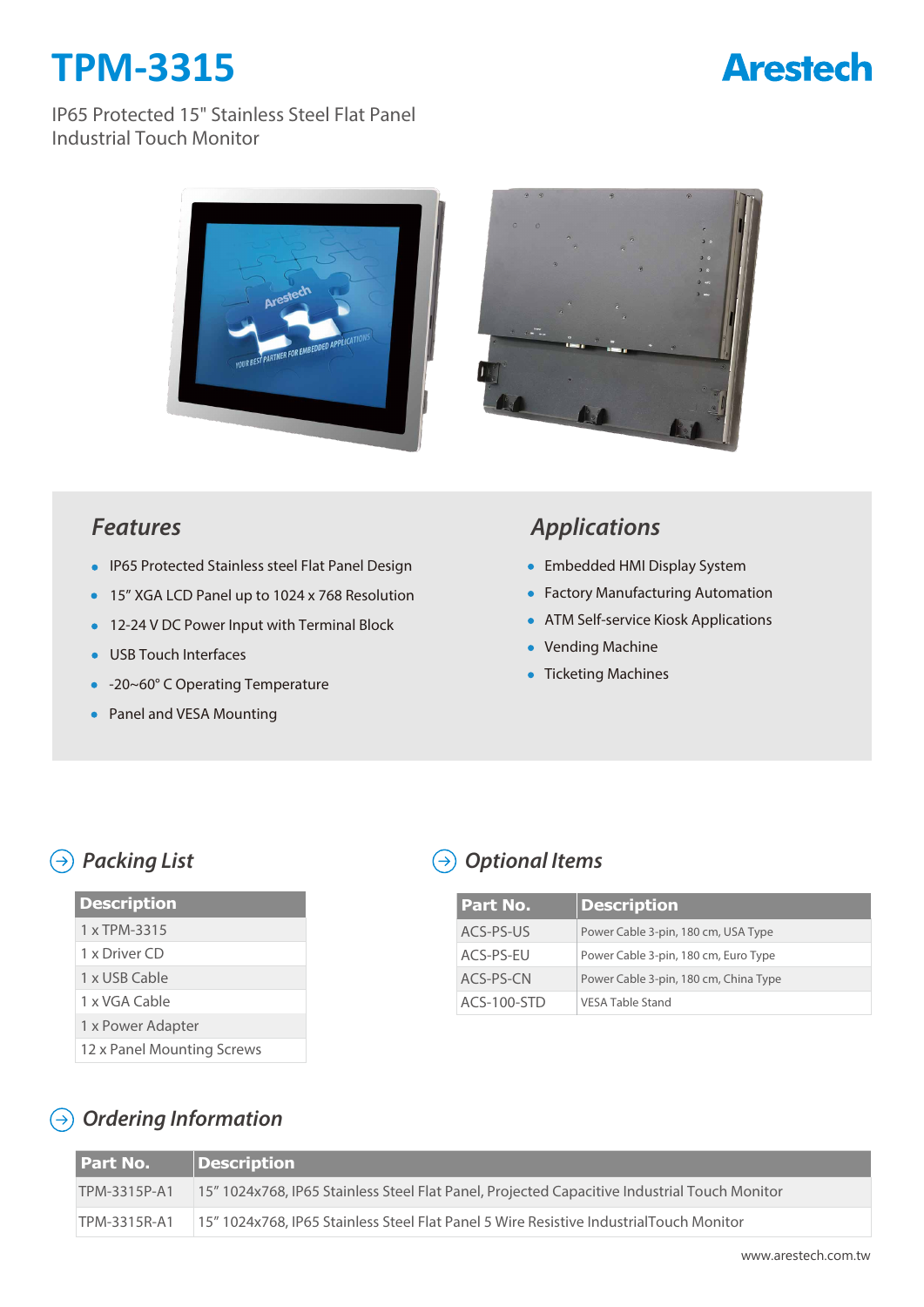# **TPM-3315**

## **Arestech**

#### IP65 Protected 15" Stainless Steel Flat Panel Industrial Touch Monitor





#### *Features*

- IP65 Protected Stainless steel Flat Panel Design
- 15" XGA LCD Panel up to 1024 x 768 Resolution
- 12-24 V DC Power Input with Terminal Block
- **USB Touch Interfaces**
- -20~60° C Operating Temperature
- Panel and VESA Mounting

## *Applications*

- Embedded HMI Display System
- **Factory Manufacturing Automation**
- **ATM Self-service Kiosk Applications**
- Vending Machine
- Ticketing Machines

### *Packing List*

| <b>Description</b>         |
|----------------------------|
|                            |
| 1 x TPM-3315               |
| 1 x Driver CD              |
| 1 x USB Cable              |
| 1 x VGA Cable              |
| 1 x Power Adapter          |
| 12 x Panel Mounting Screws |

## *Optional Items*

| l Part No.  | <b>Description</b>                    |
|-------------|---------------------------------------|
| ACS-PS-US   | Power Cable 3-pin, 180 cm, USA Type   |
| ACS-PS-EU   | Power Cable 3-pin, 180 cm, Euro Type  |
| ACS-PS-CN   | Power Cable 3-pin, 180 cm, China Type |
| ACS-100-STD | <b>VESA Table Stand</b>               |

## *Ordering Information*

| <b>Part No.</b> | Description                                                                                  |
|-----------------|----------------------------------------------------------------------------------------------|
| TPM-3315P-A1    | 15" 1024x768, IP65 Stainless Steel Flat Panel, Projected Capacitive Industrial Touch Monitor |
| TPM-3315R-A1    | 15" 1024x768, IP65 Stainless Steel Flat Panel 5 Wire Resistive IndustrialTouch Monitor       |